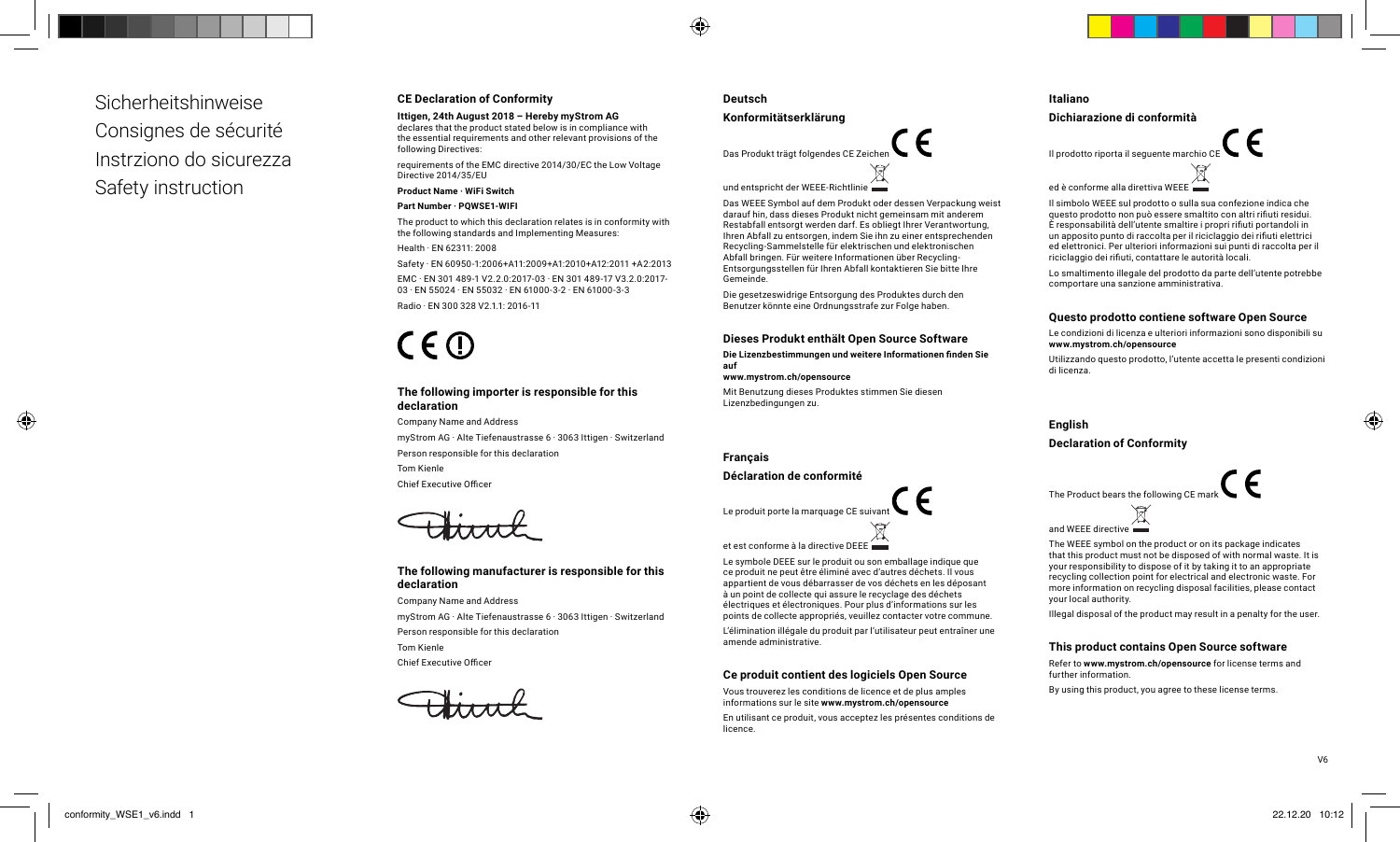Sicherheitshinweise Consignes de sécurité Instrziono do sicurezza Safety instruction

# **CE Declaration of Conformity**

**Ittigen, 24th August 2018 – Hereby myStrom AG** declares that the product stated below is in compliance with the essential requirements and other relevant provisions of the following Directives:

requirements of the EMC directive 2014/30/EC the Low Voltage Directive 2014/35/EU

#### **Product Name · WiFi Switch**

#### **Part Number · PQWSE1-WIFI**

The product to which this declaration relates is in conformity with the following standards and Implementing Measures:

Health · EN 62311: 2008

Safety · EN 60950-1:2006+A11:2009+A1:2010+A12:2011 +A2:2013

EMC · EN 301 489-1 V2.2.0:2017-03 · EN 301 489-17 V3.2.0:2017- 03 · EN 55024 · EN 55032 · EN 61000-3-2 · EN 61000-3-3 Radio · EN 300 328 V2.1.1: 2016-11

# $C \in \mathbb{O}$

#### **The following importer is responsible for this declaration**

Company Name and Address myStrom AG · Alte Tiefenaustrasse 6 · 3063 Ittigen · Switzerland Person responsible for this declaration Tom Kienle Chief Executive Officer

### **The following manufacturer is responsible for this declaration**

Company Name and Address myStrom AG · Alte Tiefenaustrasse 6 · 3063 Ittigen · Switzerland Person responsible for this declaration Tom Kienle

Chief Executive Officer

### **Deutsch**

⊕

#### **Konformitätserklärung**

Das Produkt trägt folgendes CE Zeicher und entspricht der WEEE-Richtlinie

Das WEEE Symbol auf dem Produkt oder dessen Verpackung weist darauf hin, dass dieses Produkt nicht gemeinsam mit anderem Restabfall entsorgt werden darf. Es obliegt Ihrer Verantwortung, Ihren Abfall zu entsorgen, indem Sie ihn zu einer entsprechenden Recycling-Sammelstelle für elektrischen und elektronischen Abfall bringen. Für weitere Informationen über Recycling-Entsorgungsstellen für Ihren Abfall kontaktieren Sie bitte Ihre Gemeinde.

Die gesetzeswidrige Entsorgung des Produktes durch den Benutzer könnte eine Ordnungsstrafe zur Folge haben.

#### **Dieses Produkt enthält Open Source Software**

**Die Lizenzbestimmungen und weitere Informationen finden Sie auf** 

**www.mystrom.ch/opensource** 

Mit Benutzung dieses Produktes stimmen Sie diesen Lizenzbedingungen zu.

#### **Français**

#### **Déclaration de conformité**

Le produit porte la marquage CE suivant

et est conforme à la directive DEEE

Le symbole DEEE sur le produit ou son emballage indique que ce produit ne peut être éliminé avec d'autres déchets. Il vous appartient de vous débarrasser de vos déchets en les déposant à un point de collecte qui assure le recyclage des déchets électriques et électroniques. Pour plus d'informations sur les points de collecte appropriés, veuillez contacter votre commune.

L'élimination illégale du produit par l'utilisateur peut entraîner une amende administrative.

#### **Ce produit contient des logiciels Open Source**

Vous trouverez les conditions de licence et de plus amples informations sur le site **www.mystrom.ch/opensource**

En utilisant ce produit, vous acceptez les présentes conditions de licence.

# **Italiano**

#### **Dichiarazione di conformità**



Il simbolo WEEE sul prodotto o sulla sua confezione indica che questo prodotto non può essere smaltito con altri rifiuti residui. È responsabilità dell'utente smaltire i propri rifiuti portandoli in un apposito punto di raccolta per il riciclaggio dei rifiuti elettrici ed elettronici. Per ulteriori informazioni sui punti di raccolta per il riciclaggio dei rifiuti, contattare le autorità locali.

Lo smaltimento illegale del prodotto da parte dell'utente potrebbe comportare una sanzione amministrativa.

#### **Questo prodotto contiene software Open Source**

Le condizioni di licenza e ulteriori informazioni sono disponibili su **www.mystrom.ch/opensource**

Utilizzando questo prodotto, l'utente accetta le presenti condizioni di licenza.

**English Declaration of Conformity** 



and WEEE directive **in the same** 

The WEEE symbol on the product or on its package indicates that this product must not be disposed of with normal waste. It is your responsibility to dispose of it by taking it to an appropriate recycling collection point for electrical and electronic waste. For more information on recycling disposal facilities, please contact your local authority.

Illegal disposal of the product may result in a penalty for the user.

#### **This product contains Open Source software**

Refer to **www.mystrom.ch/opensource** for license terms and further information.

By using this product, you agree to these license terms.

V6

◈

♠